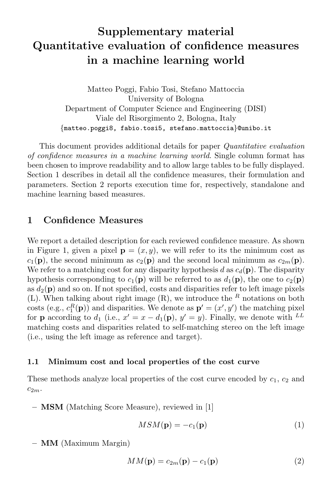# Supplementary material Quantitative evaluation of confidence measures in a machine learning world

Matteo Poggi, Fabio Tosi, Stefano Mattoccia University of Bologna Department of Computer Science and Engineering (DISI) Viale del Risorgimento 2, Bologna, Italy {matteo.poggi8, fabio.tosi5, stefano.mattoccia}@unibo.it

This document provides additional details for paper *Quantitative evaluation* of confidence measures in a machine learning world. Single column format has been chosen to improve readability and to allow large tables to be fully displayed. Section 1 describes in detail all the confidence measures, their formulation and parameters. Section 2 reports execution time for, respectively, standalone and machine learning based measures.

# 1 Confidence Measures

We report a detailed description for each reviewed confidence measure. As shown in Figure 1, given a pixel  $\mathbf{p} = (x, y)$ , we will refer to its the minimum cost as  $c_1(\mathbf{p})$ , the second minimum as  $c_2(\mathbf{p})$  and the second local minimum as  $c_{2m}(\mathbf{p})$ . We refer to a matching cost for any disparity hypothesis d as  $c_d(\mathbf{p})$ . The disparity hypothesis corresponding to  $c_1(\mathbf{p})$  will be referred to as  $d_1(\mathbf{p})$ , the one to  $c_2(\mathbf{p})$ as  $d_2(\mathbf{p})$  and so on. If not specified, costs and disparities refer to left image pixels (L). When talking about right image  $(R)$ , we introduce the  $R$  notations on both costs (e.g.,  $c_1^R(\mathbf{p})$ ) and disparities. We denote as  $\mathbf{p}' = (x', y')$  the matching pixel for **p** according to  $d_1$  (i.e.,  $x' = x - d_1(\mathbf{p}), y' = y$ ). Finally, we denote with <sup>LL</sup> matching costs and disparities related to self-matching stereo on the left image (i.e., using the left image as reference and target).

#### 1.1 Minimum cost and local properties of the cost curve

These methods analyze local properties of the cost curve encoded by  $c_1$ ,  $c_2$  and  $c_{2m}$ .

– MSM (Matching Score Measure), reviewed in [1]

$$
MSM(\mathbf{p}) = -c_1(\mathbf{p})\tag{1}
$$

– MM (Maximum Margin)

$$
MM(\mathbf{p}) = c_{2m}(\mathbf{p}) - c_1(\mathbf{p})
$$
\n(2)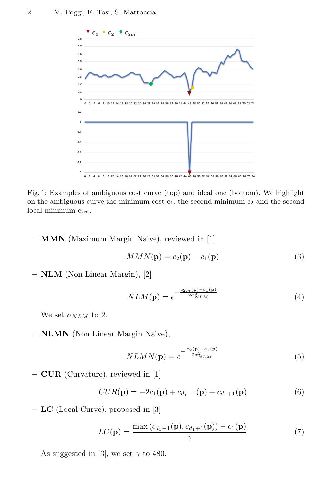

Fig. 1: Examples of ambiguous cost curve (top) and ideal one (bottom). We highlight on the ambiguous curve the minimum cost  $c_1$ , the second minimum  $c_2$  and the second local minimum  $c_{2m}$ .

– MMN (Maximum Margin Naive), reviewed in [1]

$$
MMN(\mathbf{p}) = c_2(\mathbf{p}) - c_1(\mathbf{p})
$$
\n(3)

– NLM (Non Linear Margin), [2]

$$
NLM(\mathbf{p}) = e^{-\frac{c_{2m}(\mathbf{p}) - c_1(\mathbf{p})}{2\sigma_{NLM}^2}}
$$
(4)

We set  $\sigma_{NLM}$  to 2.

– NLMN (Non Linear Margin Naive),

$$
NLMN(\mathbf{p}) = e^{-\frac{c_2(\mathbf{p}) - c_1(\mathbf{p})}{2\sigma_{NLM}^2}}
$$
(5)

– CUR (Curvature), reviewed in [1]

$$
CUR(\mathbf{p}) = -2c_1(\mathbf{p}) + c_{d_1-1}(\mathbf{p}) + c_{d_1+1}(\mathbf{p})
$$
\n(6)

– LC (Local Curve), proposed in [3]

$$
LC(\mathbf{p}) = \frac{\max(c_{d_1-1}(\mathbf{p}), c_{d_1+1}(\mathbf{p})) - c_1(\mathbf{p})}{\gamma}
$$
(7)

As suggested in [3], we set  $\gamma$  to 480.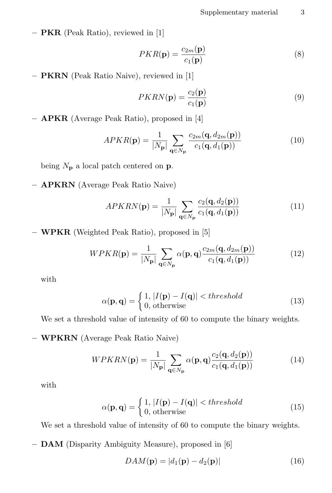– PKR (Peak Ratio), reviewed in [1]

$$
PKR(\mathbf{p}) = \frac{c_{2m}(\mathbf{p})}{c_1(\mathbf{p})}
$$
\n(8)

– PKRN (Peak Ratio Naive), reviewed in [1]

$$
PKRN(\mathbf{p}) = \frac{c_2(\mathbf{p})}{c_1(\mathbf{p})}
$$
\n(9)

– APKR (Average Peak Ratio), proposed in [4]

$$
APKR(\mathbf{p}) = \frac{1}{|N_{\mathbf{p}}|} \sum_{\mathbf{q} \in N_{\mathbf{p}}} \frac{c_{2m}(\mathbf{q}, d_{2m}(\mathbf{p}))}{c_1(\mathbf{q}, d_1(\mathbf{p}))}
$$
(10)

being  $N_{\mathbf{p}}$  a local patch centered on **p**.

– APKRN (Average Peak Ratio Naive)

$$
APKRN(\mathbf{p}) = \frac{1}{|N_{\mathbf{p}}|} \sum_{\mathbf{q} \in N_{\mathbf{p}}} \frac{c_2(\mathbf{q}, d_2(\mathbf{p}))}{c_1(\mathbf{q}, d_1(\mathbf{p}))}
$$
(11)

– WPKR (Weighted Peak Ratio), proposed in [5]

$$
WPKR(\mathbf{p}) = \frac{1}{|N_{\mathbf{p}}|} \sum_{\mathbf{q} \in N_{\mathbf{p}}} \alpha(\mathbf{p}, \mathbf{q}) \frac{c_{2m}(\mathbf{q}, d_{2m}(\mathbf{p}))}{c_1(\mathbf{q}, d_1(\mathbf{p}))}
$$
(12)

with

$$
\alpha(\mathbf{p}, \mathbf{q}) = \begin{cases} 1, |I(\mathbf{p}) - I(\mathbf{q})| < threshold \\ 0, \text{otherwise} \end{cases} \tag{13}
$$

We set a threshold value of intensity of 60 to compute the binary weights.

– WPKRN (Average Peak Ratio Naive)

$$
WPRRN(\mathbf{p}) = \frac{1}{|N_{\mathbf{p}}|} \sum_{\mathbf{q} \in N_{\mathbf{p}}} \alpha(\mathbf{p}, \mathbf{q}) \frac{c_2(\mathbf{q}, d_2(\mathbf{p}))}{c_1(\mathbf{q}, d_1(\mathbf{p}))}
$$
(14)

with

$$
\alpha(\mathbf{p}, \mathbf{q}) = \begin{cases} 1, |I(\mathbf{p}) - I(\mathbf{q})| < threshold \\ 0, \text{otherwise} \end{cases} \tag{15}
$$

We set a threshold value of intensity of 60 to compute the binary weights.

– DAM (Disparity Ambiguity Measure), proposed in [6]

$$
DAM(\mathbf{p}) = |d_1(\mathbf{p}) - d_2(\mathbf{p})| \tag{16}
$$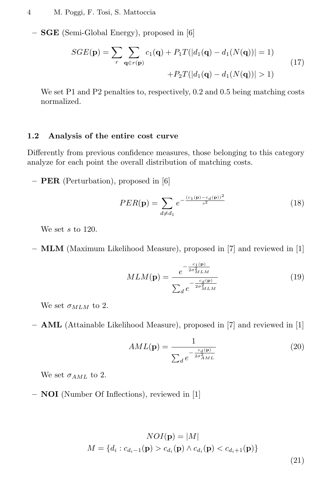– SGE (Semi-Global Energy), proposed in [6]

$$
SGE(\mathbf{p}) = \sum_{r} \sum_{\mathbf{q} \in r(\mathbf{p})} c_1(\mathbf{q}) + P_1 T(|d_1(\mathbf{q}) - d_1(N(\mathbf{q}))| = 1) + P_2 T(|d_1(\mathbf{q}) - d_1(N(\mathbf{q}))| > 1)
$$
\n(17)

We set P1 and P2 penalties to, respectively, 0.2 and 0.5 being matching costs normalized.

#### 1.2 Analysis of the entire cost curve

Differently from previous confidence measures, those belonging to this category analyze for each point the overall distribution of matching costs.

– PER (Perturbation), proposed in [6]

$$
PER(\mathbf{p}) = \sum_{d \neq d_1} e^{-\frac{(c_1(\mathbf{p}) - c_d(\mathbf{p}))^2}{s^2}}
$$
(18)

We set  $s$  to 120.

– MLM (Maximum Likelihood Measure), proposed in [7] and reviewed in [1]

$$
MLM(\mathbf{p}) = \frac{e^{-\frac{c_1(\mathbf{p})}{2\sigma_{MLM}^2}}}{\sum_d e^{-\frac{c_d(\mathbf{p})}{2\sigma_{MLM}^2}}}
$$
(19)

We set  $\sigma_{MLM}$  to 2.

– AML (Attainable Likelihood Measure), proposed in [7] and reviewed in [1]

$$
AML(\mathbf{p}) = \frac{1}{\sum_{d} e^{-\frac{c_d(\mathbf{p})}{2\sigma_{AML}^2}}}
$$
(20)

We set  $\sigma_{AML}$  to 2.

– NOI (Number Of Inflections), reviewed in [1]

$$
NOI(\mathbf{p}) = |M|
$$
  

$$
M = \{d_i : c_{d_i-1}(\mathbf{p}) > c_{d_i}(\mathbf{p}) \land c_{d_i}(\mathbf{p}) < c_{d_i+1}(\mathbf{p})\}
$$
\n(21)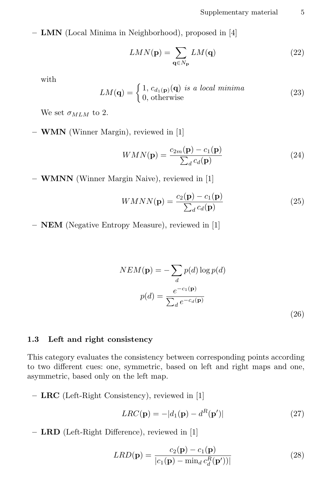– LMN (Local Minima in Neighborhood), proposed in [4]

$$
LMN(\mathbf{p}) = \sum_{\mathbf{q} \in N_{\mathbf{p}}} LM(\mathbf{q})
$$
\n(22)

with

$$
LM(\mathbf{q}) = \begin{cases} 1, c_{d_1(\mathbf{p})}(\mathbf{q}) \text{ is a local minima} \\ 0, \text{otherwise} \end{cases} \tag{23}
$$

We set  $\sigma_{MLM}$  to 2.

– WMN (Winner Margin), reviewed in [1]

$$
WMN(\mathbf{p}) = \frac{c_{2m}(\mathbf{p}) - c_1(\mathbf{p})}{\sum_d c_d(\mathbf{p})}
$$
(24)

– WMNN (Winner Margin Naive), reviewed in [1]

$$
WMNN(\mathbf{p}) = \frac{c_2(\mathbf{p}) - c_1(\mathbf{p})}{\sum_d c_d(\mathbf{p})}
$$
(25)

– NEM (Negative Entropy Measure), reviewed in [1]

$$
NEM(\mathbf{p}) = -\sum_{d} p(d) \log p(d)
$$

$$
p(d) = \frac{e^{-c_1(\mathbf{p})}}{\sum_{d} e^{-c_d(\mathbf{p})}}
$$
(26)

## 1.3 Left and right consistency

This category evaluates the consistency between corresponding points according to two different cues: one, symmetric, based on left and right maps and one, asymmetric, based only on the left map.

– LRC (Left-Right Consistency), reviewed in [1]

$$
LRC(\mathbf{p}) = -|d_1(\mathbf{p}) - d^R(\mathbf{p}')| \tag{27}
$$

– LRD (Left-Right Difference), reviewed in [1]

$$
LRD(\mathbf{p}) = \frac{c_2(\mathbf{p}) - c_1(\mathbf{p})}{|c_1(\mathbf{p}) - \min_d c_d^R(\mathbf{p}'))|}
$$
(28)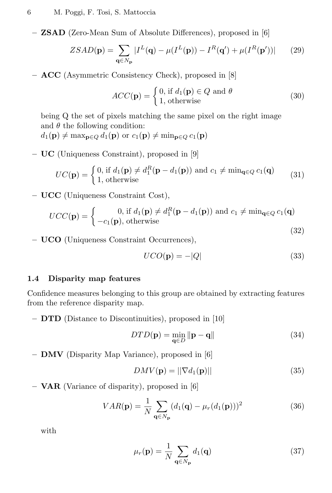– ZSAD (Zero-Mean Sum of Absolute Differences), proposed in [6]

$$
ZSAD(\mathbf{p}) = \sum_{\mathbf{q} \in N_{\mathbf{p}}} |I^{L}(\mathbf{q}) - \mu(I^{L}(\mathbf{p})) - I^{R}(\mathbf{q}') + \mu(I^{R}(\mathbf{p}'))| \qquad (29)
$$

– ACC (Asymmetric Consistency Check), proposed in [8]

$$
ACC(\mathbf{p}) = \begin{cases} 0, \text{ if } d_1(\mathbf{p}) \in Q \text{ and } \theta \\ 1, \text{ otherwise} \end{cases}
$$
 (30)

being Q the set of pixels matching the same pixel on the right image and  $\theta$  the following condition:  $d_1(\mathbf{p}) \neq \max_{\mathbf{p} \in Q} d_1(\mathbf{p})$  or  $c_1(\mathbf{p}) \neq \min_{\mathbf{p} \in Q} c_1(\mathbf{p})$ 

– UC (Uniqueness Constraint), proposed in [9]

$$
UC(\mathbf{p}) = \begin{cases} 0, \text{ if } d_1(\mathbf{p}) \neq d_1^R(\mathbf{p} - d_1(\mathbf{p})) \text{ and } c_1 \neq \min_{\mathbf{q} \in Q} c_1(\mathbf{q}) \\ 1, \text{ otherwise} \end{cases}
$$
(31)

– UCC (Uniqueness Constraint Cost),

$$
UCC(\mathbf{p}) = \begin{cases} 0, \text{ if } d_1(\mathbf{p}) \neq d_1^R(\mathbf{p} - d_1(\mathbf{p})) \text{ and } c_1 \neq \min_{\mathbf{q} \in Q} c_1(\mathbf{q}) \\ -c_1(\mathbf{p}), \text{ otherwise} \end{cases}
$$
(32)

– UCO (Uniqueness Constraint Occurrences),

$$
UCO(\mathbf{p}) = -|Q| \tag{33}
$$

#### 1.4 Disparity map features

Confidence measures belonging to this group are obtained by extracting features from the reference disparity map.

– DTD (Distance to Discontinuities), proposed in [10]

$$
DTD(\mathbf{p}) = \min_{\mathbf{q} \in D} \|\mathbf{p} - \mathbf{q}\| \tag{34}
$$

– DMV (Disparity Map Variance), proposed in [6]

$$
DMV(\mathbf{p}) = ||\nabla d_1(\mathbf{p})||\tag{35}
$$

– VAR (Variance of disparity), proposed in [6]

$$
VAR(\mathbf{p}) = \frac{1}{N} \sum_{\mathbf{q} \in N_{\mathbf{p}}} (d_1(\mathbf{q}) - \mu_r(d_1(\mathbf{p})))^2
$$
 (36)

with

$$
\mu_r(\mathbf{p}) = \frac{1}{N} \sum_{\mathbf{q} \in N_{\mathbf{p}}} d_1(\mathbf{q}) \tag{37}
$$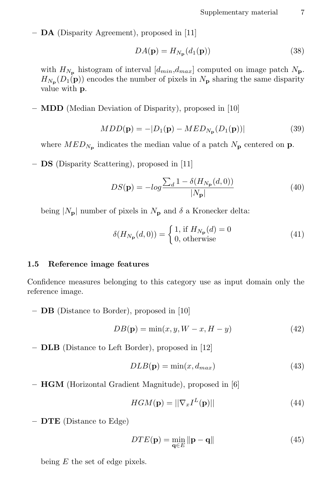– DA (Disparity Agreement), proposed in [11]

$$
DA(\mathbf{p}) = H_{N_{\mathbf{p}}}(d_1(\mathbf{p}))\tag{38}
$$

with  $H_{N_{\rm p}}$  histogram of interval  $[d_{min},d_{max}]$  computed on image patch  $N_{\rm p}$ .  $H_{N_{\mathbf{p}}}(D_1(\mathbf{p}))$  encodes the number of pixels in  $N_{\mathbf{p}}$  sharing the same disparity value with p.

– MDD (Median Deviation of Disparity), proposed in [10]

$$
MDD(\mathbf{p}) = -|D_1(\mathbf{p}) - MED_{N_{\mathbf{p}}}(D_1(\mathbf{p}))|
$$
\n(39)

where  $MED_{N_{\mathbf{p}}}$  indicates the median value of a patch  $N_{\mathbf{p}}$  centered on  $\mathbf{p}$ .

– DS (Disparity Scattering), proposed in [11]

$$
DS(\mathbf{p}) = -\log \frac{\sum_{d} 1 - \delta(H_{N_{\mathbf{p}}}(d, 0))}{|N_{\mathbf{p}}|} \tag{40}
$$

being  $|N_{\mathbf{p}}|$  number of pixels in  $N_{\mathbf{p}}$  and  $\delta$  a Kronecker delta:

$$
\delta(H_{N_{\mathbf{p}}}(d,0)) = \begin{cases} 1, \text{ if } H_{N_{\mathbf{p}}}(d) = 0\\ 0, \text{ otherwise} \end{cases}
$$
\n(41)

#### 1.5 Reference image features

Confidence measures belonging to this category use as input domain only the reference image.

– DB (Distance to Border), proposed in [10]

$$
DB(\mathbf{p}) = \min(x, y, W - x, H - y) \tag{42}
$$

– DLB (Distance to Left Border), proposed in [12]

$$
DLB(\mathbf{p}) = \min(x, d_{max})
$$
\n(43)

– HGM (Horizontal Gradient Magnitude), proposed in [6]

$$
HGM(\mathbf{p}) = ||\nabla_x I^L(\mathbf{p})||\tag{44}
$$

– DTE (Distance to Edge)

$$
DTE(\mathbf{p}) = \min_{\mathbf{q} \in E} \|\mathbf{p} - \mathbf{q}\| \tag{45}
$$

being  $E$  the set of edge pixels.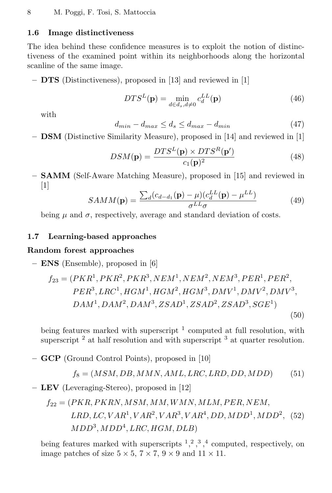## 1.6 Image distinctiveness

The idea behind these confidence measures is to exploit the notion of distinctiveness of the examined point within its neighborhoods along the horizontal scanline of the same image.

– DTS (Distinctiveness), proposed in [13] and reviewed in [1]

$$
DTS^{L}(\mathbf{p}) = \min_{d \in d_s, d \neq 0} c_d^{LL}(\mathbf{p})
$$
\n(46)

with

$$
d_{min} - d_{max} \le d_s \le d_{max} - d_{min} \tag{47}
$$

– DSM (Distinctive Similarity Measure), proposed in [14] and reviewed in [1]

$$
DSM(\mathbf{p}) = \frac{DTS^{L}(\mathbf{p}) \times DTS^{R}(\mathbf{p}')}{c_{1}(\mathbf{p})^{2}}
$$
(48)

– SAMM (Self-Aware Matching Measure), proposed in [15] and reviewed in  $[1]$ 

$$
SAMM(\mathbf{p}) = \frac{\sum_{d}(c_{d-d_1}(\mathbf{p}) - \mu)(c_d^{LL}(\mathbf{p}) - \mu^{LL})}{\sigma^{LL}\sigma}
$$
(49)

being  $\mu$  and  $\sigma$ , respectively, average and standard deviation of costs.

### 1.7 Learning-based approaches

## Random forest approaches

– ENS (Ensemble), proposed in [6]

$$
f_{23} = (PKR1, PKR2, PKR3, NEM1, NEM2, NEM3, PER1, PER2,PER3, LRC1, HGM1, HGM2, HGM3, DMV1, DMV2, DMV3,DAM1, DAM2, DAM3, ZSAD1, ZSAD2, ZSAD3, SGE1)
$$
\n(50)

being features marked with superscript  $1$  computed at full resolution, with superscript  $^2$  at half resolution and with superscript  $^3$  at quarter resolution.

– GCP (Ground Control Points), proposed in [10]

$$
f_8 = (MSM, DB, MMN, AML, LRC, LRD, DD, MDD)
$$
 (51)

– LEV (Leveraging-Stereo), proposed in [12]

$$
f_{22} = (PKR, PKRN, MSM, MM, WMN, MLM, PER, NEM,
$$
  
LRD, LC, VAR<sup>1</sup>, VAR<sup>2</sup>, VAR<sup>3</sup>, VAR<sup>4</sup>, DD, MDD<sup>1</sup>, MDD<sup>2</sup>, (52)  
MDD<sup>3</sup>, MDD<sup>4</sup>, LRC, HGM, DLB)

being features marked with superscripts  $1, 2, 3, 4$  computed, respectively, on image patches of size  $5 \times 5$ ,  $7 \times 7$ ,  $9 \times 9$  and  $11 \times 11$ .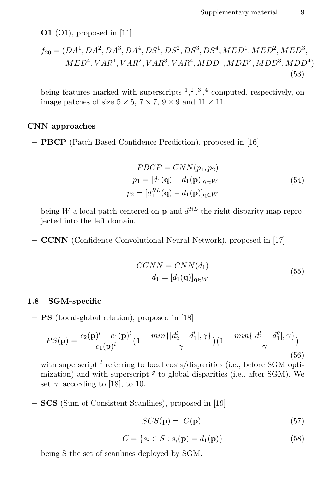$-$  **O1** (O1), proposed in [11]

$$
f_{20} = (DA^1, DA^2, DA^3, DA^4, DS^1, DS^2, DS^3, DS^4, MED^1, MED^2, MED^3, MED^3, MED^4, MED^4, NED^4, NED^4, NED^4, NED^4, NED^5, NED^4)
$$
\n
$$
(53)
$$

being features marked with superscripts  $1, 2, 3, 4$  computed, respectively, on image patches of size  $5 \times 5$ ,  $7 \times 7$ ,  $9 \times 9$  and  $11 \times 11$ .

#### CNN approaches

– PBCP (Patch Based Confidence Prediction), proposed in [16]

$$
PBCP = CNN(p_1, p_2)
$$
  
\n
$$
p_1 = [d_1(\mathbf{q}) - d_1(\mathbf{p})]_{\mathbf{q} \in W}
$$
  
\n
$$
p_2 = [d_1^{RL}(\mathbf{q}) - d_1(\mathbf{p})]_{\mathbf{q} \in W}
$$
\n(54)

being W a local patch centered on **p** and  $d^{RL}$  the right disparity map reprojected into the left domain.

– CCNN (Confidence Convolutional Neural Network), proposed in [17]

$$
CCNN = CNN(d_1)
$$
  
\n
$$
d_1 = [d_1(\mathbf{q})]_{\mathbf{q} \in W}
$$
\n(55)

#### 1.8 SGM-specific

– PS (Local-global relation), proposed in [18]

$$
PS(\mathbf{p}) = \frac{c_2(\mathbf{p})^l - c_1(\mathbf{p})^l}{c_1(\mathbf{p})^l} \left(1 - \frac{\min\{|d_2^l - d_1^l|, \gamma\}}{\gamma}\right) \left(1 - \frac{\min\{|d_1^l - d_1^g|, \gamma\}}{\gamma}\right) \tag{56}
$$

with superscript  $^l$  referring to local costs/disparities (i.e., before SGM optimization) and with superscript  $g$  to global disparities (i.e., after SGM). We set  $\gamma$ , according to [18], to 10.

– SCS (Sum of Consistent Scanlines), proposed in [19]

$$
SCS(\mathbf{p}) = |C(\mathbf{p})| \tag{57}
$$

$$
C = \{s_i \in S : s_i(\mathbf{p}) = d_1(\mathbf{p})\}\tag{58}
$$

being S the set of scanlines deployed by SGM.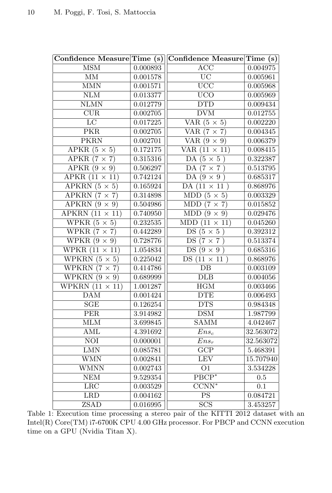|                                        |          | Confidence Measure Time (s) Confidence Measure Time (s) |                  |
|----------------------------------------|----------|---------------------------------------------------------|------------------|
| MSM                                    | 0.000893 | ACC                                                     | 0.004975         |
| MM                                     | 0.001578 | $\overline{UC}$                                         | 0.005961         |
| $\overline{\text{MMN}}$                | 0.001571 | $\overline{UCC}$                                        | 0.005968         |
| NLM                                    | 0.013377 | <b>UCO</b>                                              | 0.005969         |
| $\overline{\text{NLMN}}$               | 0.012779 | $\overline{\mathrm{DTD}}$                               | 0.009434         |
| $\overline{\text{CUR}}$                | 0.002705 | $\overline{\rm DVM}$                                    | 0.012755         |
| $\overline{LC}$                        | 0.017225 | VAR $(5 \times 5)$                                      | 0.002220         |
| <b>PKR</b>                             | 0.002705 | VAR $(7 \times 7)$                                      | 0.004345         |
| <b>PKRN</b>                            | 0.002701 | VAR $(9 \times 9)$                                      | 0.006379         |
| APKR $(5 \times 5)$                    | 0.172175 | VAR $(11 \times 11)$                                    | 0.008415         |
| APKR $(7 \times 7)$                    | 0.315316 | DA $(5 \times 5)$                                       | 0.322387         |
| $\overline{\text{APKR } (9 \times 9)}$ | 0.506297 | DA $(7 \times 7)$                                       | 0.513795         |
| $APKR$ $(11 \times 11)$                | 0.742124 | $DA(9\times9)$                                          | 0.685317         |
| APKRN $(5 \times 5)$                   | 0.165924 | DA $(11 \times 11)$                                     | 0.868976         |
| APKRN $(7 \times 7)$                   | 0.314898 | MDD $(5 \times 5)$                                      | 0.003329         |
| APKRN $(9 \times 9)$                   | 0.504986 | $MDD (7 \times 7)$                                      | 0.015852         |
| APKRN $(11 \times 11)$                 | 0.740950 | MDD $(9 \times 9)$                                      | 0.029476         |
| WPKR $(5 \times 5)$                    | 0.232535 | $MDD(11 \times 11)$                                     | 0.045260         |
| WPKR $(7 \times 7)$                    | 0.442289 | $DS(5\times 5)$                                         | 0.392312         |
| WPKR $(9 \times 9)$                    | 0.728776 | $DS(7\times7)$                                          | 0.513374         |
| WPKR $(11 \times 11)$                  | 1.054834 | DS $(9 \times 9)$                                       | 0.685316         |
| WPKRN $(5 \times 5)$                   | 0.225042 | $DS(11 \times 11)$                                      | 0.868976         |
| WPKRN $(7 \times 7)$                   | 0.414786 | $\overline{DB}$                                         | 0.003109         |
| WPKRN $(9 \times 9)$                   | 0.689999 | <b>DLB</b>                                              | 0.004056         |
| WPKRN $(11 \times 11)$                 | 1.001287 | $\overline{\rm{HGM}}$                                   | 0.003466         |
| $\overline{\mathrm{DAM}}$              | 0.001424 | <b>DTE</b>                                              | 0.006493         |
| SGE                                    | 0.126254 | $\overline{\text{DTS}}$                                 | 0.984348         |
| $\overline{\text{PER}}$                | 3.914982 | DSM                                                     | 1.987799         |
| MLM                                    | 3.699845 | SAMM                                                    | 4.042467         |
| <b>AML</b>                             | 4.391692 | $Ens_c$                                                 | 32.563072        |
| <b>NOI</b>                             | 0.000001 | $\overline{Ens}_r$                                      | 32.563072        |
| LMN                                    | 0.085781 | $\overline{\text{GCP}}$                                 | 5.468391         |
| <b>WMN</b>                             | 0.002841 | LEV                                                     | 15.707940        |
| WMNN                                   | 0.002743 | O <sub>1</sub>                                          | 3.534228         |
| NEM                                    | 9.529354 | $\overline{\text{PBCP}^*}$                              | 0.5              |
| LRC                                    | 0.003529 | $\overline{\text{CCNN}^*}$                              | $\overline{0.1}$ |
| LRD                                    | 0.004162 | $\overline{\mathrm{PS}}$                                | 0.084721         |
| <b>ZSAD</b>                            | 0.016995 | SCS                                                     | 3.453257         |

Table 1: Execution time processing a stereo pair of the KITTI 2012 dataset with an Intel(R) Core(TM) i7-6700K CPU 4.00 GHz processor. For PBCP and CCNN execution time on a GPU (Nvidia Titan X).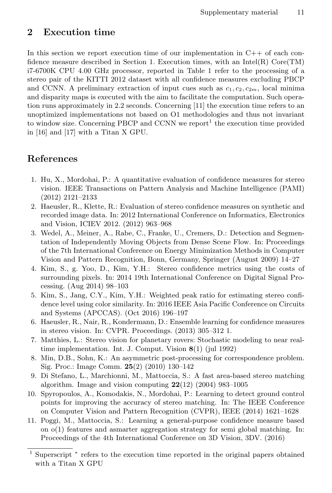# 2 Execution time

In this section we report execution time of our implementation in  $C++$  of each confidence measure described in Section 1. Execution times, with an Intel(R) Core(TM) i7-6700K CPU 4.00 GHz processor, reported in Table 1 refer to the processing of a stereo pair of the KITTI 2012 dataset with all confidence measures excluding PBCP and CCNN. A preliminary extraction of input cues such as  $c_1, c_2, c_{2m}$ , local minima and disparity maps is executed with the aim to facilitate the computation. Such operation runs approximately in 2.2 seconds. Concerning [11] the execution time refers to an unoptimized implementations not based on O1 methodologies and thus not invariant to window size. Concerning PBCP and CCNN we report<sup>1</sup> the execution time provided in [16] and [17] with a Titan X GPU.

# References

- 1. Hu, X., Mordohai, P.: A quantitative evaluation of confidence measures for stereo vision. IEEE Transactions on Pattern Analysis and Machine Intelligence (PAMI) (2012) 2121–2133
- 2. Haeusler, R., Klette, R.: Evaluation of stereo confidence measures on synthetic and recorded image data. In: 2012 International Conference on Informatics, Electronics and Vision, ICIEV 2012. (2012) 963–968
- 3. Wedel, A., Meiner, A., Rabe, C., Franke, U., Cremers, D.: Detection and Segmentation of Independently Moving Objects from Dense Scene Flow. In: Proceedings of the 7th International Conference on Energy Minimization Methods in Computer Vision and Pattern Recognition, Bonn, Germany, Springer (August 2009) 14–27
- 4. Kim, S., g. Yoo, D., Kim, Y.H.: Stereo confidence metrics using the costs of surrounding pixels. In: 2014 19th International Conference on Digital Signal Processing. (Aug 2014) 98–103
- 5. Kim, S., Jang, C.Y., Kim, Y.H.: Weighted peak ratio for estimating stereo confidence level using color similarity. In: 2016 IEEE Asia Pacific Conference on Circuits and Systems (APCCAS). (Oct 2016) 196–197
- 6. Haeusler, R., Nair, R., Kondermann, D.: Ensemble learning for confidence measures in stereo vision. In: CVPR. Proceedings. (2013) 305–312 1.
- 7. Matthies, L.: Stereo vision for planetary rovers: Stochastic modeling to near realtime implementation. Int. J. Comput. Vision 8(1) (jul 1992)
- 8. Min, D.B., Sohn, K.: An asymmetric post-processing for correspondence problem. Sig. Proc.: Image Comm. 25(2) (2010) 130–142
- 9. Di Stefano, L., Marchionni, M., Mattoccia, S.: A fast area-based stereo matching algorithm. Image and vision computing  $22(12)$  (2004) 983-1005
- 10. Spyropoulos, A., Komodakis, N., Mordohai, P.: Learning to detect ground control points for improving the accuracy of stereo matching. In: The IEEE Conference on Computer Vision and Pattern Recognition (CVPR), IEEE (2014) 1621–1628
- 11. Poggi, M., Mattoccia, S.: Learning a general-purpose confidence measure based on  $o(1)$  features and asmarter aggregation strategy for semi global matching. In: Proceedings of the 4th International Conference on 3D Vision, 3DV. (2016)

<sup>&</sup>lt;sup>1</sup> Superscript <sup>\*</sup> refers to the execution time reported in the original papers obtained with a Titan X GPU